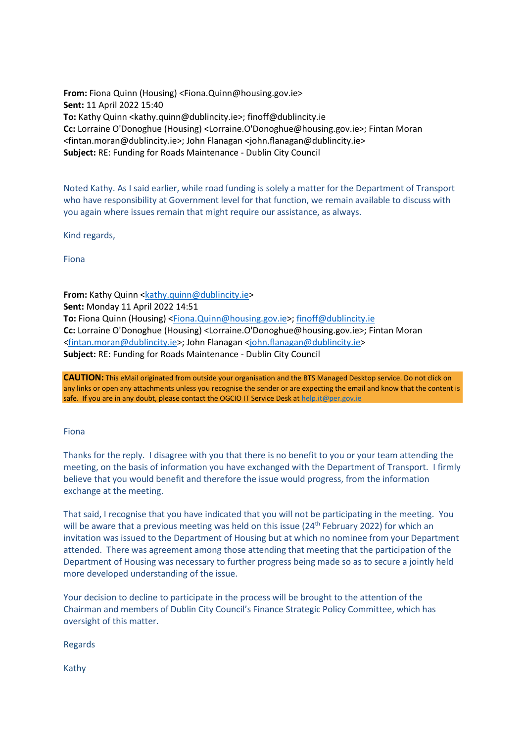**From:** Fiona Quinn (Housing) <Fiona.Quinn@housing.gov.ie> **Sent:** 11 April 2022 15:40 **To:** Kathy Quinn <kathy.quinn@dublincity.ie>; finoff@dublincity.ie **Cc:** Lorraine O'Donoghue (Housing) <Lorraine.O'Donoghue@housing.gov.ie>; Fintan Moran <fintan.moran@dublincity.ie>; John Flanagan <john.flanagan@dublincity.ie> **Subject:** RE: Funding for Roads Maintenance - Dublin City Council

Noted Kathy. As I said earlier, while road funding is solely a matter for the Department of Transport who have responsibility at Government level for that function, we remain available to discuss with you again where issues remain that might require our assistance, as always.

Kind regards,

Fiona

**From:** Kathy Quinn [<kathy.quinn@dublincity.ie>](mailto:kathy.quinn@dublincity.ie) **Sent:** Monday 11 April 2022 14:51 **To:** Fiona Quinn (Housing) [<Fiona.Quinn@housing.gov.ie>](mailto:Fiona.Quinn@housing.gov.ie); [finoff@dublincity.ie](mailto:finoff@dublincity.ie) **Cc:** Lorraine O'Donoghue (Housing) <Lorraine.O'Donoghue@housing.gov.ie>; Fintan Moran [<fintan.moran@dublincity.ie>](mailto:fintan.moran@dublincity.ie); John Flanagan [<john.flanagan@dublincity.ie>](mailto:john.flanagan@dublincity.ie) **Subject:** RE: Funding for Roads Maintenance - Dublin City Council

**CAUTION:** This eMail originated from outside your organisation and the BTS Managed Desktop service. Do not click on any links or open any attachments unless you recognise the sender or are expecting the email and know that the content is safe. If you are in any doubt, please contact the OGCIO IT Service Desk at [help.it@per.gov.ie](mailto:help.it@per.gov.ie)

## Fiona

Thanks for the reply. I disagree with you that there is no benefit to you or your team attending the meeting, on the basis of information you have exchanged with the Department of Transport. I firmly believe that you would benefit and therefore the issue would progress, from the information exchange at the meeting.

That said, I recognise that you have indicated that you will not be participating in the meeting. You will be aware that a previous meeting was held on this issue (24<sup>th</sup> February 2022) for which an invitation was issued to the Department of Housing but at which no nominee from your Department attended. There was agreement among those attending that meeting that the participation of the Department of Housing was necessary to further progress being made so as to secure a jointly held more developed understanding of the issue.

Your decision to decline to participate in the process will be brought to the attention of the Chairman and members of Dublin City Council's Finance Strategic Policy Committee, which has oversight of this matter.

Regards

Kathy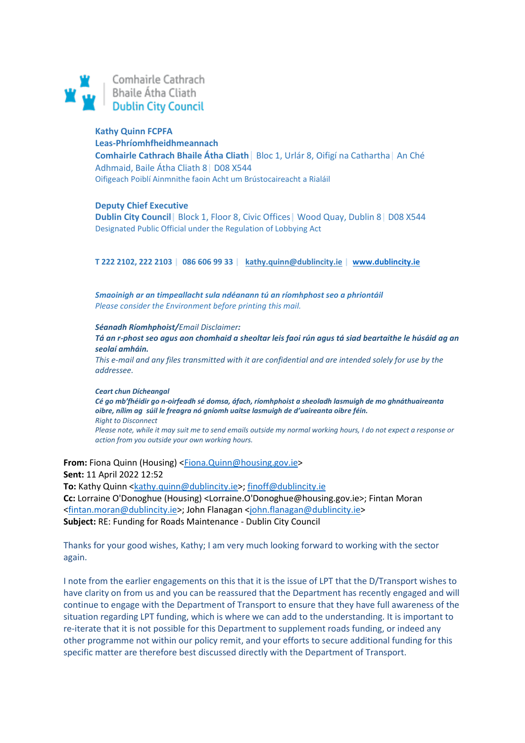

### **Kathy Quinn FCPFA**

**Leas-Phríomhfheidhmeannach Comhairle Cathrach Bhaile Átha Cliath**| Bloc 1, Urlár 8, Oifigí na Cathartha| An Ché Adhmaid, Baile Átha Cliath 8| D08 X544 Oifigeach Poiblí Ainmnithe faoin Acht um Brústocaireacht a Rialáil

#### **Deputy Chief Executive**

**Dublin City Council|** Block 1, Floor 8, Civic Offices**|** Wood Quay, Dublin 8| D08 X544 Designated Public Official under the Regulation of Lobbying Act

**T 222 2102, 222 2103 | 086 606 99 33 | [kathy.quinn@dublincity.ie](mailto:kathy.quinn@dublincity.ie) | [www.dublincity.ie](https://scanner.topsec.com/?d=1962&r=show&u=www.dublincity.ie&t=2e8a149b00664ad1b380d5a799f336276c267725)**

*Smaoinigh ar an timpeallacht sula ndéanann tú an ríomhphost seo a phriontáil Please consider the Environment before printing this mail.* 

*Séanadh Ríomhphoist/Email Disclaimer:*

*Tá an r-phost seo agus aon chomhaid a sheoltar leis faoi rún agus tá siad beartaithe le húsáid ag an seolaí amháin.*

*This e-mail and any files transmitted with it are confidential and are intended solely for use by the addressee.*

*Ceart chun Dícheangal Cé go mb'fhéidir go n-oirfeadh sé domsa, áfach, ríomhphoist a sheoladh lasmuigh de mo ghnáthuaireanta oibre, nílim ag súil le freagra nó gníomh uaitse lasmuigh de d'uaireanta oibre féin. Right to Disconnect Please note, while it may suit me to send emails outside my normal working hours, I do not expect a response or action from you outside your own working hours.*

**From:** Fiona Quinn (Housing) [<Fiona.Quinn@housing.gov.ie>](mailto:Fiona.Quinn@housing.gov.ie) **Sent:** 11 April 2022 12:52 **To:** Kathy Quinn [<kathy.quinn@dublincity.ie>](mailto:kathy.quinn@dublincity.ie)[; finoff@dublincity.ie](mailto:finoff@dublincity.ie) **Cc:** Lorraine O'Donoghue (Housing) <Lorraine.O'Donoghue@housing.gov.ie>; Fintan Moran [<fintan.moran@dublincity.ie>](mailto:fintan.moran@dublincity.ie); John Flanagan [<john.flanagan@dublincity.ie>](mailto:john.flanagan@dublincity.ie) **Subject:** RE: Funding for Roads Maintenance - Dublin City Council

Thanks for your good wishes, Kathy; I am very much looking forward to working with the sector again.

I note from the earlier engagements on this that it is the issue of LPT that the D/Transport wishes to have clarity on from us and you can be reassured that the Department has recently engaged and will continue to engage with the Department of Transport to ensure that they have full awareness of the situation regarding LPT funding, which is where we can add to the understanding. It is important to re-iterate that it is not possible for this Department to supplement roads funding, or indeed any other programme not within our policy remit, and your efforts to secure additional funding for this specific matter are therefore best discussed directly with the Department of Transport.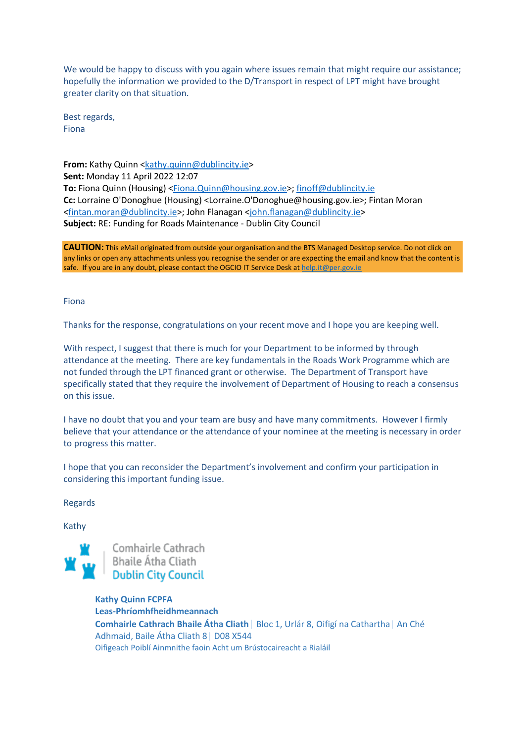We would be happy to discuss with you again where issues remain that might require our assistance; hopefully the information we provided to the D/Transport in respect of LPT might have brought greater clarity on that situation.

Best regards, Fiona

**From:** Kathy Quinn [<kathy.quinn@dublincity.ie>](mailto:kathy.quinn@dublincity.ie) **Sent:** Monday 11 April 2022 12:07 **To:** Fiona Quinn (Housing) [<Fiona.Quinn@housing.gov.ie>](mailto:Fiona.Quinn@housing.gov.ie); [finoff@dublincity.ie](mailto:finoff@dublincity.ie) **Cc:** Lorraine O'Donoghue (Housing) <Lorraine.O'Donoghue@housing.gov.ie>; Fintan Moran [<fintan.moran@dublincity.ie>](mailto:fintan.moran@dublincity.ie); John Flanagan [<john.flanagan@dublincity.ie>](mailto:john.flanagan@dublincity.ie) **Subject:** RE: Funding for Roads Maintenance - Dublin City Council

**CAUTION:** This eMail originated from outside your organisation and the BTS Managed Desktop service. Do not click on any links or open any attachments unless you recognise the sender or are expecting the email and know that the content is safe. If you are in any doubt, please contact the OGCIO IT Service Desk a[t help.it@per.gov.ie](mailto:help.it@per.gov.ie)

Fiona

Thanks for the response, congratulations on your recent move and I hope you are keeping well.

With respect, I suggest that there is much for your Department to be informed by through attendance at the meeting. There are key fundamentals in the Roads Work Programme which are not funded through the LPT financed grant or otherwise. The Department of Transport have specifically stated that they require the involvement of Department of Housing to reach a consensus on this issue.

I have no doubt that you and your team are busy and have many commitments. However I firmly believe that your attendance or the attendance of your nominee at the meeting is necessary in order to progress this matter.

I hope that you can reconsider the Department's involvement and confirm your participation in considering this important funding issue.

Regards

Kathy



**Kathy Quinn FCPFA Leas-Phríomhfheidhmeannach Comhairle Cathrach Bhaile Átha Cliath**| Bloc 1, Urlár 8, Oifigí na Cathartha| An Ché Adhmaid, Baile Átha Cliath 8| D08 X544 Oifigeach Poiblí Ainmnithe faoin Acht um Brústocaireacht a Rialáil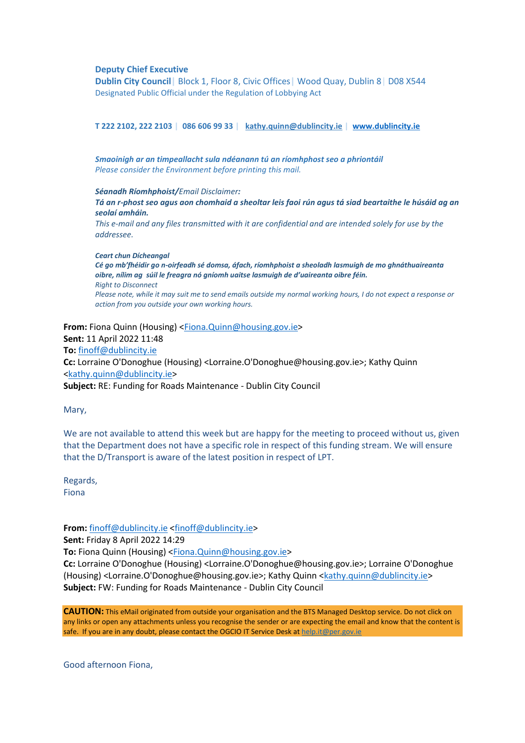#### **Deputy Chief Executive**

**Dublin City Council|** Block 1, Floor 8, Civic Offices**|** Wood Quay, Dublin 8| D08 X544 Designated Public Official under the Regulation of Lobbying Act

**T 222 2102, 222 2103 | 086 606 99 33 | [kathy.quinn@dublincity.ie](mailto:kathy.quinn@dublincity.ie) | [www.dublincity.ie](https://scanner.topsec.com/?d=1962&r=show&u=www.dublincity.ie&t=2e8a149b00664ad1b380d5a799f336276c267725)**

*Smaoinigh ar an timpeallacht sula ndéanann tú an ríomhphost seo a phriontáil Please consider the Environment before printing this mail.* 

*Séanadh Ríomhphoist/Email Disclaimer: Tá an r-phost seo agus aon chomhaid a sheoltar leis faoi rún agus tá siad beartaithe le húsáid ag an seolaí amháin. This e-mail and any files transmitted with it are confidential and are intended solely for use by the* 

*addressee.*

*Ceart chun Dícheangal Cé go mb'fhéidir go n-oirfeadh sé domsa, áfach, ríomhphoist a sheoladh lasmuigh de mo ghnáthuaireanta oibre, nílim ag súil le freagra nó gníomh uaitse lasmuigh de d'uaireanta oibre féin. Right to Disconnect Please note, while it may suit me to send emails outside my normal working hours, I do not expect a response or action from you outside your own working hours.*

**From:** Fiona Quinn (Housing) [<Fiona.Quinn@housing.gov.ie>](mailto:Fiona.Quinn@housing.gov.ie) **Sent:** 11 April 2022 11:48 **To:** [finoff@dublincity.ie](mailto:finoff@dublincity.ie) **Cc:** Lorraine O'Donoghue (Housing) <Lorraine.O'Donoghue@housing.gov.ie>; Kathy Quinn [<kathy.quinn@dublincity.ie>](mailto:kathy.quinn@dublincity.ie) **Subject:** RE: Funding for Roads Maintenance - Dublin City Council

Mary,

We are not available to attend this week but are happy for the meeting to proceed without us, given that the Department does not have a specific role in respect of this funding stream. We will ensure that the D/Transport is aware of the latest position in respect of LPT.

Regards, Fiona

**From:** [finoff@dublincity.ie](mailto:finoff@dublincity.ie) [<finoff@dublincity.ie>](mailto:finoff@dublincity.ie)

**Sent:** Friday 8 April 2022 14:29

**To:** Fiona Quinn (Housing) [<Fiona.Quinn@housing.gov.ie>](mailto:Fiona.Quinn@housing.gov.ie)

**Cc:** Lorraine O'Donoghue (Housing) <Lorraine.O'Donoghue@housing.gov.ie>; Lorraine O'Donoghue (Housing) <Lorraine.O'Donoghue@housing.gov.ie>; Kathy Quinn [<kathy.quinn@dublincity.ie>](mailto:kathy.quinn@dublincity.ie) **Subject:** FW: Funding for Roads Maintenance - Dublin City Council

**CAUTION:** This eMail originated from outside your organisation and the BTS Managed Desktop service. Do not click on any links or open any attachments unless you recognise the sender or are expecting the email and know that the content is safe. If you are in any doubt, please contact the OGCIO IT Service Desk a[t help.it@per.gov.ie](mailto:help.it@per.gov.ie)

Good afternoon Fiona,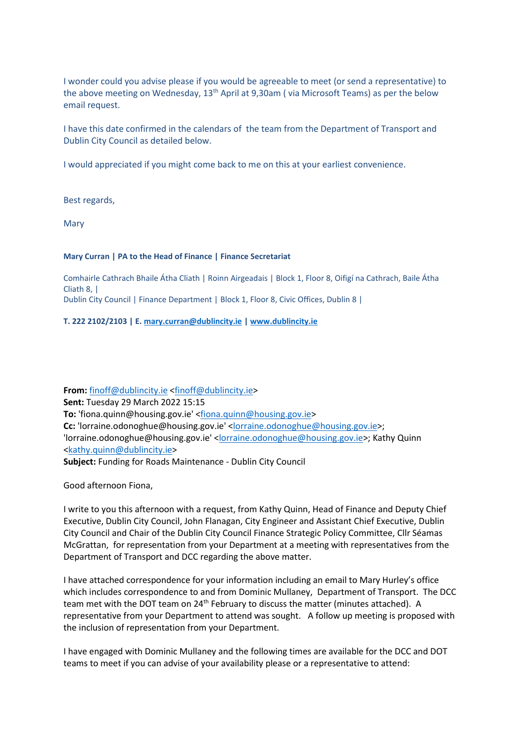I wonder could you advise please if you would be agreeable to meet (or send a representative) to the above meeting on Wednesday,  $13<sup>th</sup>$  April at 9,30am (via Microsoft Teams) as per the below email request.

I have this date confirmed in the calendars of the team from the Department of Transport and Dublin City Council as detailed below.

I would appreciated if you might come back to me on this at your earliest convenience.

Best regards,

Mary

## **Mary Curran | PA to the Head of Finance | Finance Secretariat**

Comhairle Cathrach Bhaile Átha Cliath | Roinn Airgeadais | Block 1, Floor 8, Oifigí na Cathrach, Baile Átha Cliath 8, | Dublin City Council | Finance Department | Block 1, Floor 8, Civic Offices, Dublin 8 |

# **T. 222 2102/2103 | E. [mary.curran@dublincity.ie](mailto:mary.curran@dublincity.ie) | [www.dublincity.ie](https://scanner.topsec.com/?d=1962&r=show&u=www.dublincity.ie&t=2e8a149b00664ad1b380d5a799f336276c267725)**

**From:** [finoff@dublincity.ie](mailto:finoff@dublincity.ie) [<finoff@dublincity.ie>](mailto:finoff@dublincity.ie) **Sent:** Tuesday 29 March 2022 15:15 **To:** 'fiona.quinn@housing.gov.ie' [<fiona.quinn@housing.gov.ie>](mailto:fiona.quinn@housing.gov.ie) **Cc:** 'lorraine.odonoghue@housing.gov.ie' [<lorraine.odonoghue@housing.gov.ie>](mailto:lorraine.odonoghue@housing.gov.ie); 'lorraine.odonoghue@housing.gov.ie' [<lorraine.odonoghue@housing.gov.ie>](mailto:lorraine.odonoghue@housing.gov.ie); Kathy Quinn [<kathy.quinn@dublincity.ie>](mailto:kathy.quinn@dublincity.ie) **Subject:** Funding for Roads Maintenance - Dublin City Council

Good afternoon Fiona,

I write to you this afternoon with a request, from Kathy Quinn, Head of Finance and Deputy Chief Executive, Dublin City Council, John Flanagan, City Engineer and Assistant Chief Executive, Dublin City Council and Chair of the Dublin City Council Finance Strategic Policy Committee, Cllr Séamas McGrattan, for representation from your Department at a meeting with representatives from the Department of Transport and DCC regarding the above matter.

I have attached correspondence for your information including an email to Mary Hurley's office which includes correspondence to and from Dominic Mullaney, Department of Transport. The DCC team met with the DOT team on 24<sup>th</sup> February to discuss the matter (minutes attached). A representative from your Department to attend was sought. A follow up meeting is proposed with the inclusion of representation from your Department.

I have engaged with Dominic Mullaney and the following times are available for the DCC and DOT teams to meet if you can advise of your availability please or a representative to attend: